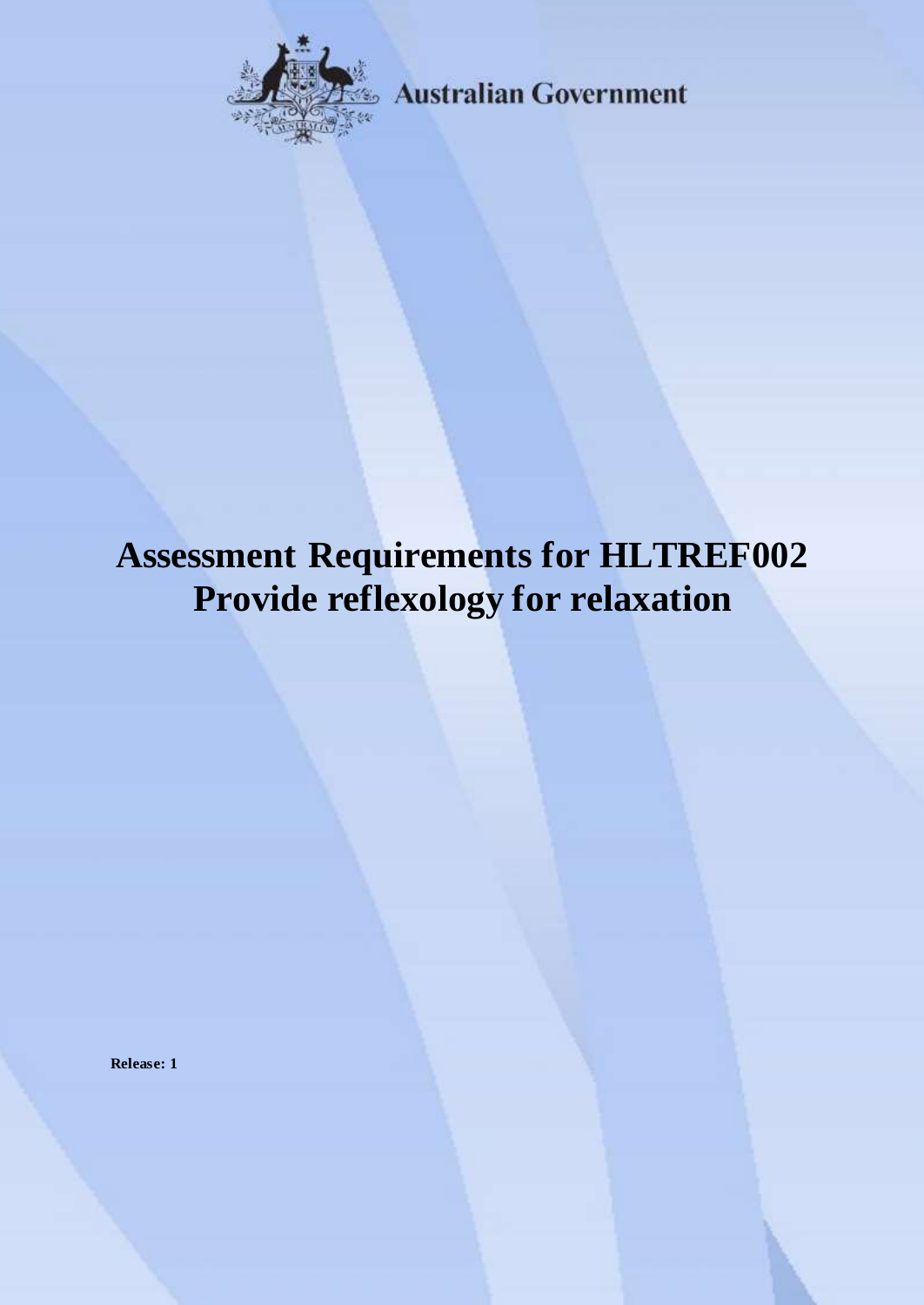

**Australian Government** 

# **Assessment Requirements for HLTREF002 Provide reflexology for relaxation**

**Release: 1**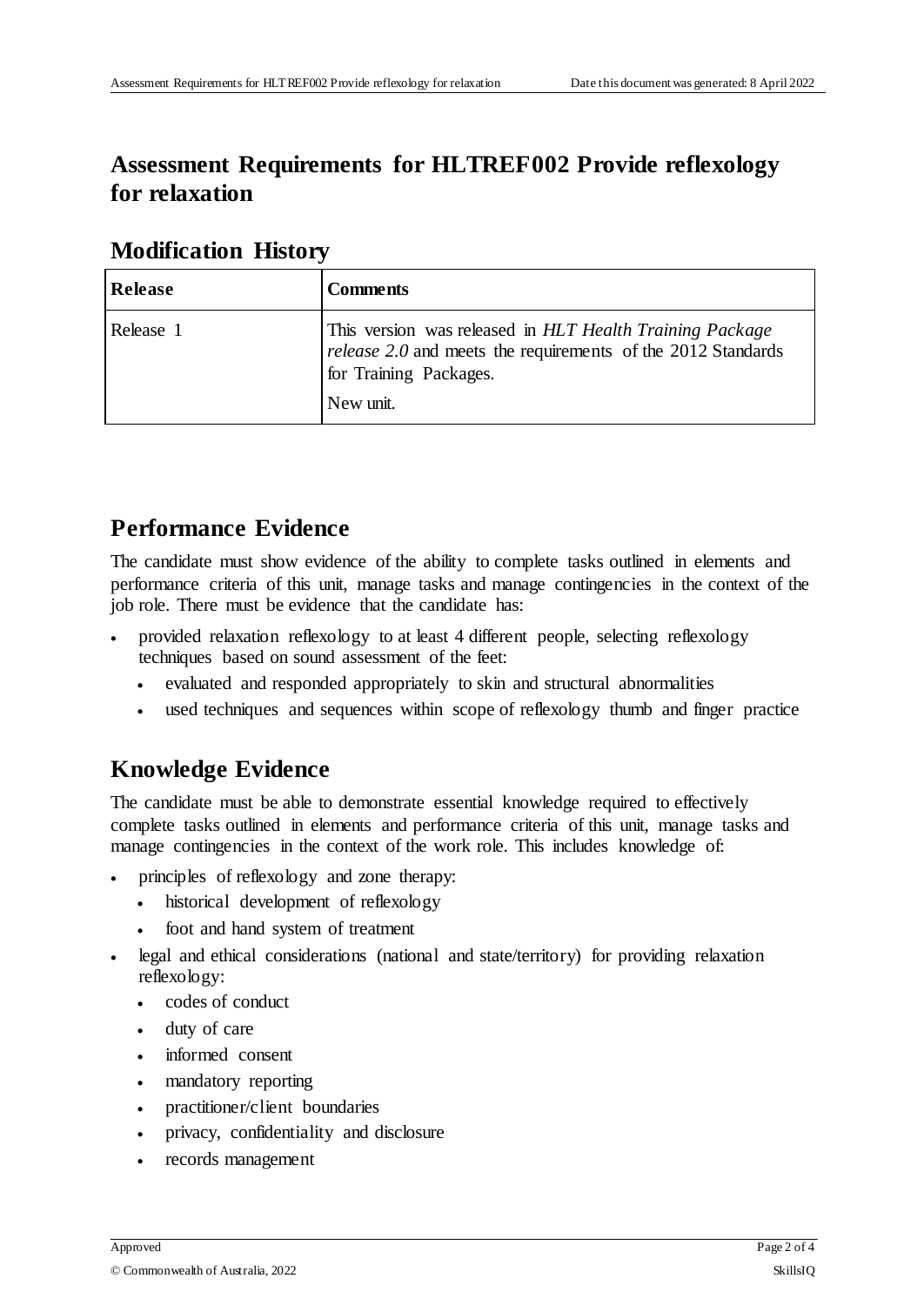## **Assessment Requirements for HLTREF002 Provide reflexology for relaxation**

| <b>Release</b> | <b>Comments</b>                                                                                                                                                        |
|----------------|------------------------------------------------------------------------------------------------------------------------------------------------------------------------|
| Release 1      | This version was released in HLT Health Training Package<br><i>release 2.0</i> and meets the requirements of the 2012 Standards<br>for Training Packages.<br>New unit. |

#### **Modification History**

## **Performance Evidence**

The candidate must show evidence of the ability to complete tasks outlined in elements and performance criteria of this unit, manage tasks and manage contingencies in the context of the job role. There must be evidence that the candidate has:

- provided relaxation reflexology to at least 4 different people, selecting reflexology techniques based on sound assessment of the feet:
	- evaluated and responded appropriately to skin and structural abnormalities
	- used techniques and sequences within scope of reflexology thumb and finger practice

## **Knowledge Evidence**

The candidate must be able to demonstrate essential knowledge required to effectively complete tasks outlined in elements and performance criteria of this unit, manage tasks and manage contingencies in the context of the work role. This includes knowledge of:

- principles of reflexology and zone therapy:
	- historical development of reflexology
	- foot and hand system of treatment
- legal and ethical considerations (national and state/territory) for providing relaxation reflexology:
	- codes of conduct
	- duty of care
	- informed consent
	- mandatory reporting
	- practitioner/client boundaries
	- privacy, confidentiality and disclosure
	- records management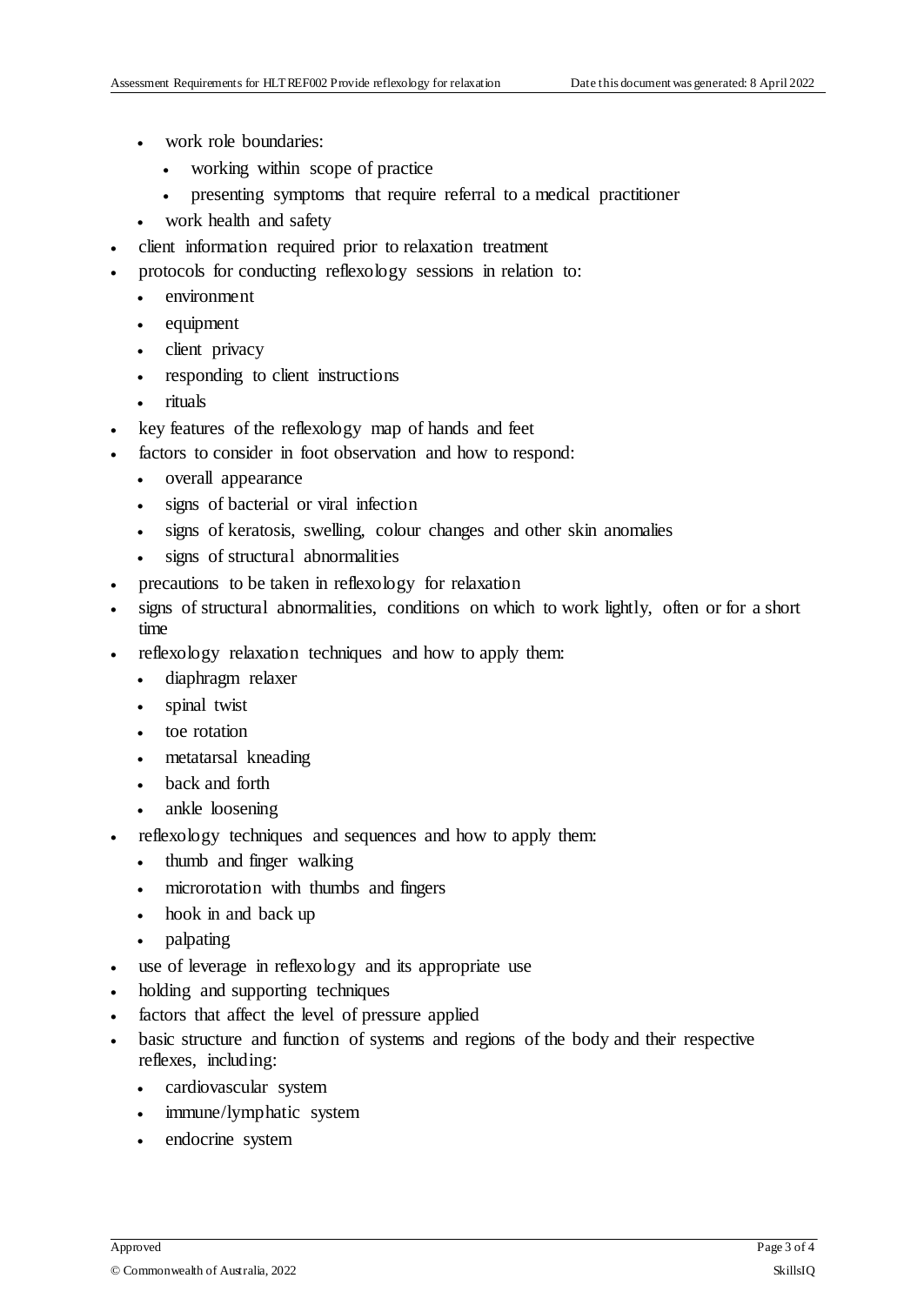- work role boundaries:
	- working within scope of practice
	- presenting symptoms that require referral to a medical practitioner
- work health and safety
- client information required prior to relaxation treatment
- protocols for conducting reflexology sessions in relation to:
	- environment
	- equipment
	- client privacy
	- responding to client instructions
	- rituals
	- key features of the reflexology map of hands and feet
- factors to consider in foot observation and how to respond:
	- overall appearance
	- signs of bacterial or viral infection
	- signs of keratosis, swelling, colour changes and other skin anomalies
	- signs of structural abnormalities
- precautions to be taken in reflexology for relaxation
- signs of structural abnormalities, conditions on which to work lightly, often or for a short time
- reflexology relaxation techniques and how to apply them:
	- diaphragm relaxer
	- spinal twist
	- toe rotation
	- metatarsal kneading
	- back and forth
	- ankle loosening
- reflexology techniques and sequences and how to apply them:
	- thumb and finger walking
	- microrotation with thumbs and fingers
	- hook in and back up
	- palpating
- use of leverage in reflexology and its appropriate use
- holding and supporting techniques
- factors that affect the level of pressure applied
- basic structure and function of systems and regions of the body and their respective reflexes, including:
	- cardiovascular system
	- immune/lymphatic system
	- endocrine system